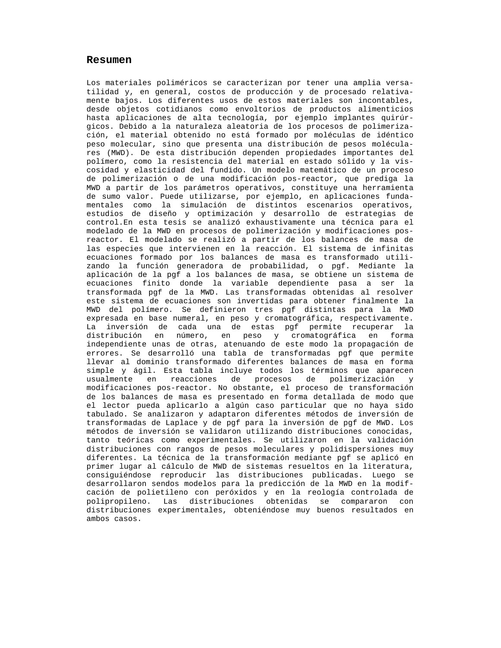## **Resumen**

Los materiales poliméricos se caracterizan por tener una amplia versatilidad y, en general, costos de producción y de procesado relativamente bajos. Los diferentes usos de estos materiales son incontables, desde objetos cotidianos como envoltorios de productos alimenticios hasta aplicaciones de alta tecnología, por ejemplo implantes quirúrgicos. Debido a la naturaleza aleatoria de los procesos de polimerización, el material obtenido no está formado por moléculas de idéntico peso molecular, sino que presenta una distribución de pesos moléculares (MWD). De esta distribución dependen propiedades importantes del polímero, como la resistencia del material en estado sólido y la viscosidad y elasticidad del fundido. Un modelo matemático de un proceso de polimerización o de una modificación pos-reactor, que prediga la MWD a partir de los parámetros operativos, constituye una herramienta de sumo valor. Puede utilizarse, por ejemplo, en aplicaciones fundamentales como la simulación de distintos escenarios operativos, estudios de diseño y optimización y desarrollo de estrategias de control.En esta tesis se analizó exhaustivamente una técnica para el modelado de la MWD en procesos de polimerización y modificaciones posreactor. El modelado se realizó a partir de los balances de masa de las especies que intervienen en la reacción. El sistema de infinitas ecuaciones formado por los balances de masa es transformado utilizando la función generadora de probabilidad, o pgf. Mediante la aplicación de la pgf a los balances de masa, se obtiene un sistema de ecuaciones finito donde la variable dependiente pasa a ser la transformada pgf de la MWD. Las transformadas obtenidas al resolver este sistema de ecuaciones son invertidas para obtener finalmente la MWD del polímero. Se definieron tres pgf distintas para la MWD expresada en base numeral, en peso y cromatográfica, respectivamente. La inversión de cada una de estas pgf permite recuperar la distribución en número, en peso y cromatográfica en forma independiente unas de otras, atenuando de este modo la propagación de errores. Se desarrolló una tabla de transformadas pgf que permite llevar al dominio transformado diferentes balances de masa en forma simple y ágil. Esta tabla incluye todos los términos que aparecen usualmente en reacciones de procesos de polimerización y modificaciones pos-reactor. No obstante, el proceso de transformación de los balances de masa es presentado en forma detallada de modo que el lector pueda aplicarlo a algún caso particular que no haya sido tabulado. Se analizaron y adaptaron diferentes métodos de inversión de transformadas de Laplace y de pgf para la inversión de pgf de MWD. Los métodos de inversión se validaron utilizando distribuciones conocidas, tanto teóricas como experimentales. Se utilizaron en la validación distribuciones con rangos de pesos moleculares y polidispersiones muy diferentes. La técnica de la transformación mediante pgf se aplicó en primer lugar al cálculo de MWD de sistemas resueltos en la literatura, consiguiéndose reproducir las distribuciones publicadas. Luego se desarrollaron sendos modelos para la predicción de la MWD en la modifcación de polietileno con peróxidos y en la reología controlada de polipropileno. Las distribuciones obtenidas se compararon con distribuciones experimentales, obteniéndose muy buenos resultados en ambos casos.